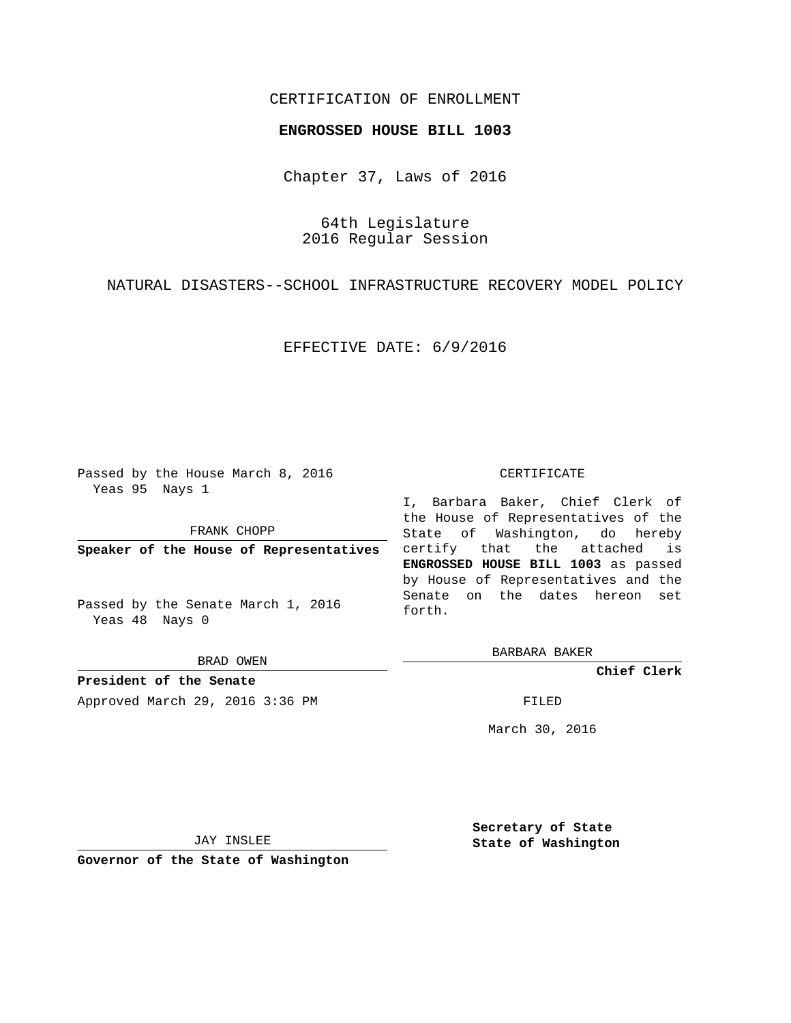## CERTIFICATION OF ENROLLMENT

### **ENGROSSED HOUSE BILL 1003**

Chapter 37, Laws of 2016

64th Legislature 2016 Regular Session

NATURAL DISASTERS--SCHOOL INFRASTRUCTURE RECOVERY MODEL POLICY

EFFECTIVE DATE: 6/9/2016

Passed by the House March 8, 2016 Yeas 95 Nays 1

FRANK CHOPP

**Speaker of the House of Representatives**

Passed by the Senate March 1, 2016 Yeas 48 Nays 0

BRAD OWEN

**President of the Senate** Approved March 29, 2016 3:36 PM FILED

#### CERTIFICATE

I, Barbara Baker, Chief Clerk of the House of Representatives of the State of Washington, do hereby certify that the attached is **ENGROSSED HOUSE BILL 1003** as passed by House of Representatives and the Senate on the dates hereon set forth.

BARBARA BAKER

**Chief Clerk**

March 30, 2016

JAY INSLEE

**Governor of the State of Washington**

**Secretary of State State of Washington**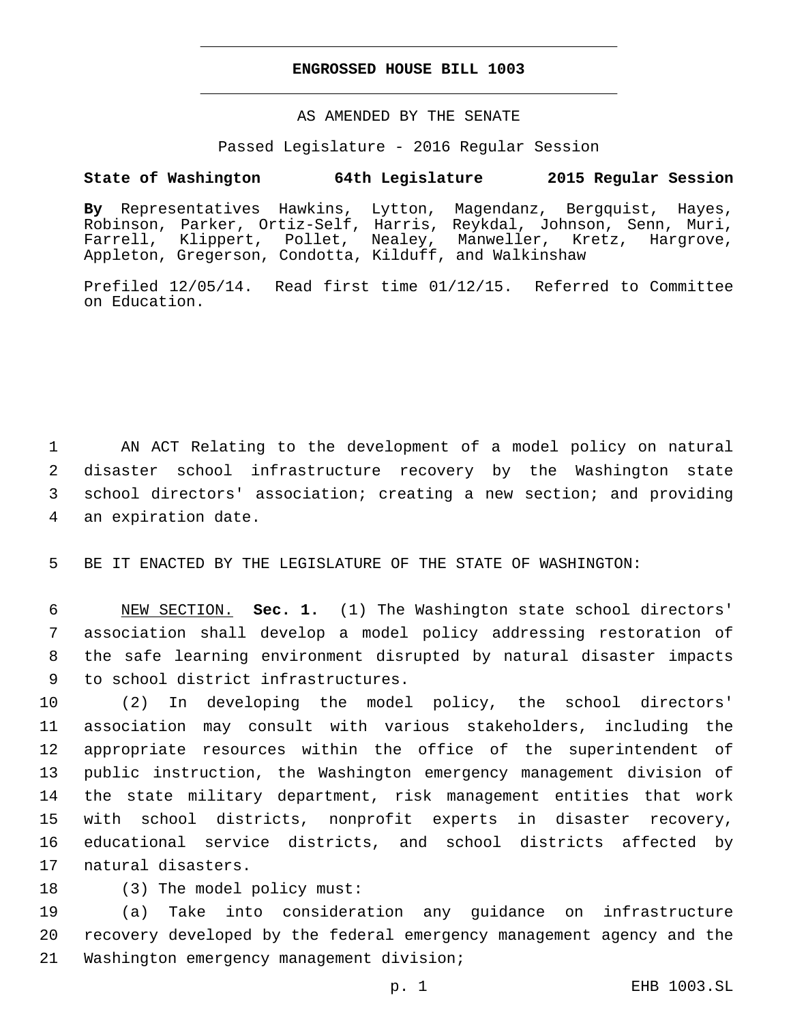### **ENGROSSED HOUSE BILL 1003**

AS AMENDED BY THE SENATE

Passed Legislature - 2016 Regular Session

# **State of Washington 64th Legislature 2015 Regular Session**

**By** Representatives Hawkins, Lytton, Magendanz, Bergquist, Hayes, Robinson, Parker, Ortiz-Self, Harris, Reykdal, Johnson, Senn, Muri, Farrell, Klippert, Pollet, Nealey, Manweller, Kretz, Hargrove, Appleton, Gregerson, Condotta, Kilduff, and Walkinshaw

Prefiled 12/05/14. Read first time 01/12/15. Referred to Committee on Education.

 AN ACT Relating to the development of a model policy on natural disaster school infrastructure recovery by the Washington state school directors' association; creating a new section; and providing 4 an expiration date.

5 BE IT ENACTED BY THE LEGISLATURE OF THE STATE OF WASHINGTON:

 NEW SECTION. **Sec. 1.** (1) The Washington state school directors' association shall develop a model policy addressing restoration of the safe learning environment disrupted by natural disaster impacts to school district infrastructures.

 (2) In developing the model policy, the school directors' association may consult with various stakeholders, including the appropriate resources within the office of the superintendent of public instruction, the Washington emergency management division of the state military department, risk management entities that work with school districts, nonprofit experts in disaster recovery, educational service districts, and school districts affected by 17 natural disasters.

18 (3) The model policy must:

19 (a) Take into consideration any guidance on infrastructure 20 recovery developed by the federal emergency management agency and the 21 Washington emergency management division;